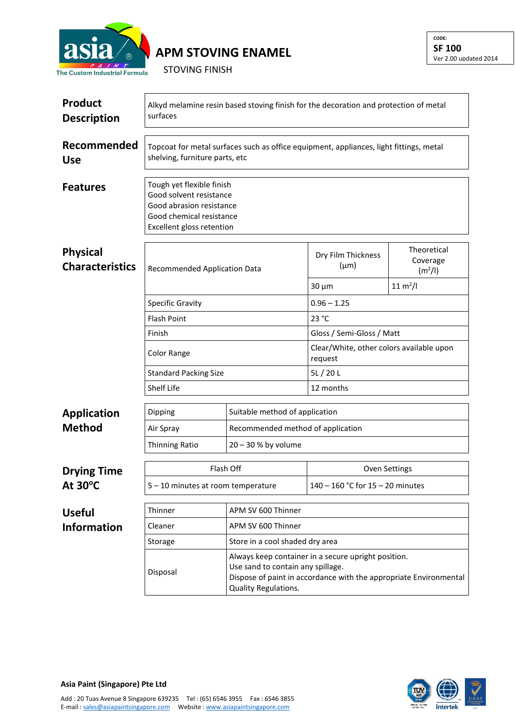

## **APM STOVING ENAMEL**

STOVING FINISH

| <b>Product</b><br><b>Description</b>      | Alkyd melamine resin based stoving finish for the decoration and protection of metal<br>surfaces                                                                   |                                                                                                                                                                                       |                                                     |                                      |  |  |
|-------------------------------------------|--------------------------------------------------------------------------------------------------------------------------------------------------------------------|---------------------------------------------------------------------------------------------------------------------------------------------------------------------------------------|-----------------------------------------------------|--------------------------------------|--|--|
| Recommended<br><b>Use</b>                 | Topcoat for metal surfaces such as office equipment, appliances, light fittings, metal<br>shelving, furniture parts, etc                                           |                                                                                                                                                                                       |                                                     |                                      |  |  |
| <b>Features</b>                           | Tough yet flexible finish<br>Good solvent resistance<br>Good abrasion resistance<br>Good chemical resistance<br>Excellent gloss retention                          |                                                                                                                                                                                       |                                                     |                                      |  |  |
| <b>Physical</b><br><b>Characteristics</b> | <b>Recommended Application Data</b><br><b>Specific Gravity</b><br><b>Flash Point</b><br>Finish<br>Color Range<br><b>Standard Packing Size</b><br><b>Shelf Life</b> |                                                                                                                                                                                       | Dry Film Thickness<br>$(\mu m)$                     | Theoretical<br>Coverage<br>$(m^2/l)$ |  |  |
|                                           |                                                                                                                                                                    |                                                                                                                                                                                       | $30 \mu m$                                          | $11 \text{ m}^2$ /l                  |  |  |
|                                           |                                                                                                                                                                    |                                                                                                                                                                                       | $0.96 - 1.25$                                       |                                      |  |  |
|                                           |                                                                                                                                                                    |                                                                                                                                                                                       | 23 °C                                               |                                      |  |  |
|                                           |                                                                                                                                                                    |                                                                                                                                                                                       | Gloss / Semi-Gloss / Matt                           |                                      |  |  |
|                                           |                                                                                                                                                                    |                                                                                                                                                                                       | Clear/White, other colors available upon<br>request |                                      |  |  |
|                                           |                                                                                                                                                                    |                                                                                                                                                                                       | 5L/20L                                              |                                      |  |  |
|                                           |                                                                                                                                                                    |                                                                                                                                                                                       | 12 months                                           |                                      |  |  |
| <b>Application</b>                        | Dipping                                                                                                                                                            | Suitable method of application                                                                                                                                                        |                                                     |                                      |  |  |
| <b>Method</b>                             | Air Spray                                                                                                                                                          | Recommended method of application                                                                                                                                                     |                                                     |                                      |  |  |
|                                           | <b>Thinning Ratio</b>                                                                                                                                              | $20 - 30$ % by volume                                                                                                                                                                 |                                                     |                                      |  |  |
| <b>Drying Time</b><br>At 30°C             | Flash Off                                                                                                                                                          |                                                                                                                                                                                       | <b>Oven Settings</b>                                |                                      |  |  |
|                                           | 5 - 10 minutes at room temperature                                                                                                                                 |                                                                                                                                                                                       | 140 - 160 °C for 15 - 20 minutes                    |                                      |  |  |
| <b>Useful</b><br><b>Information</b>       | Thinner                                                                                                                                                            | APM SV 600 Thinner                                                                                                                                                                    |                                                     |                                      |  |  |
|                                           | Cleaner                                                                                                                                                            | APM SV 600 Thinner                                                                                                                                                                    |                                                     |                                      |  |  |
|                                           | Storage                                                                                                                                                            | Store in a cool shaded dry area                                                                                                                                                       |                                                     |                                      |  |  |
|                                           | Disposal                                                                                                                                                           | Always keep container in a secure upright position.<br>Use sand to contain any spillage.<br>Dispose of paint in accordance with the appropriate Environmental<br>Quality Regulations. |                                                     |                                      |  |  |